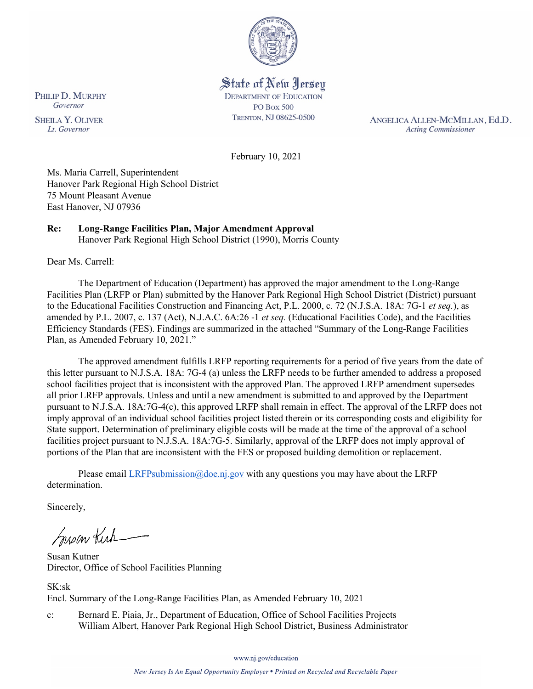

State of New Jersey **DEPARTMENT OF EDUCATION PO Box 500** TRENTON, NJ 08625-0500

ANGELICA ALLEN-MCMILLAN, Ed.D. **Acting Commissioner** 

February 10, 2021

Ms. Maria Carrell, Superintendent Hanover Park Regional High School District 75 Mount Pleasant Avenue East Hanover, NJ 07936

# **Re: Long-Range Facilities Plan, Major Amendment Approval**

Hanover Park Regional High School District (1990), Morris County

Dear Ms. Carrell:

The Department of Education (Department) has approved the major amendment to the Long-Range Facilities Plan (LRFP or Plan) submitted by the Hanover Park Regional High School District (District) pursuant to the Educational Facilities Construction and Financing Act, P.L. 2000, c. 72 (N.J.S.A. 18A: 7G-1 *et seq.*), as amended by P.L. 2007, c. 137 (Act), N.J.A.C. 6A:26 -1 *et seq.* (Educational Facilities Code), and the Facilities Efficiency Standards (FES). Findings are summarized in the attached "Summary of the Long-Range Facilities Plan, as Amended February 10, 2021."

The approved amendment fulfills LRFP reporting requirements for a period of five years from the date of this letter pursuant to N.J.S.A. 18A: 7G-4 (a) unless the LRFP needs to be further amended to address a proposed school facilities project that is inconsistent with the approved Plan. The approved LRFP amendment supersedes all prior LRFP approvals. Unless and until a new amendment is submitted to and approved by the Department pursuant to N.J.S.A. 18A:7G-4(c), this approved LRFP shall remain in effect. The approval of the LRFP does not imply approval of an individual school facilities project listed therein or its corresponding costs and eligibility for State support. Determination of preliminary eligible costs will be made at the time of the approval of a school facilities project pursuant to N.J.S.A. 18A:7G-5. Similarly, approval of the LRFP does not imply approval of portions of the Plan that are inconsistent with the FES or proposed building demolition or replacement.

Please email  $LRFP submission@doe.nj.gov$  with any questions you may have about the LRFP determination.

Sincerely,

Susan Kich

Susan Kutner Director, Office of School Facilities Planning

SK:sk Encl. Summary of the Long-Range Facilities Plan, as Amended February 10, 2021

c: Bernard E. Piaia, Jr., Department of Education, Office of School Facilities Projects William Albert, Hanover Park Regional High School District, Business Administrator

www.nj.gov/education

New Jersey Is An Equal Opportunity Employer . Printed on Recycled and Recyclable Paper

PHILIP D. MURPHY Governor

**SHEILA Y. OLIVER** Lt. Governor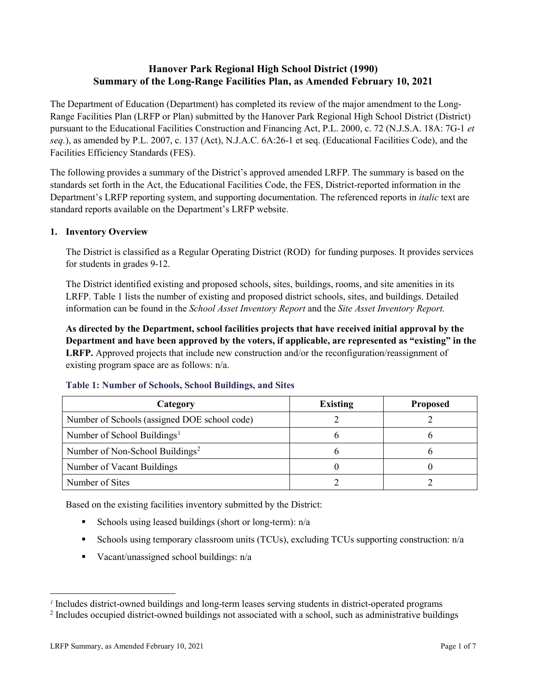# **Hanover Park Regional High School District (1990) Summary of the Long-Range Facilities Plan, as Amended February 10, 2021**

The Department of Education (Department) has completed its review of the major amendment to the Long-Range Facilities Plan (LRFP or Plan) submitted by the Hanover Park Regional High School District (District) pursuant to the Educational Facilities Construction and Financing Act, P.L. 2000, c. 72 (N.J.S.A. 18A: 7G-1 *et seq.*), as amended by P.L. 2007, c. 137 (Act), N.J.A.C. 6A:26-1 et seq. (Educational Facilities Code), and the Facilities Efficiency Standards (FES).

The following provides a summary of the District's approved amended LRFP. The summary is based on the standards set forth in the Act, the Educational Facilities Code, the FES, District-reported information in the Department's LRFP reporting system, and supporting documentation. The referenced reports in *italic* text are standard reports available on the Department's LRFP website.

#### **1. Inventory Overview**

The District is classified as a Regular Operating District (ROD) for funding purposes. It provides services for students in grades 9-12.

The District identified existing and proposed schools, sites, buildings, rooms, and site amenities in its LRFP. Table 1 lists the number of existing and proposed district schools, sites, and buildings. Detailed information can be found in the *School Asset Inventory Report* and the *Site Asset Inventory Report.* 

**As directed by the Department, school facilities projects that have received initial approval by the Department and have been approved by the voters, if applicable, are represented as "existing" in the LRFP.** Approved projects that include new construction and/or the reconfiguration/reassignment of existing program space are as follows: n/a.

| Category                                     | <b>Existing</b> | <b>Proposed</b> |
|----------------------------------------------|-----------------|-----------------|
| Number of Schools (assigned DOE school code) |                 |                 |
| Number of School Buildings <sup>1</sup>      |                 |                 |
| Number of Non-School Buildings <sup>2</sup>  |                 |                 |
| Number of Vacant Buildings                   |                 |                 |
| Number of Sites                              |                 |                 |

#### **Table 1: Number of Schools, School Buildings, and Sites**

Based on the existing facilities inventory submitted by the District:

- Schools using leased buildings (short or long-term):  $n/a$
- Schools using temporary classroom units (TCUs), excluding TCUs supporting construction: n/a
- Vacant/unassigned school buildings:  $n/a$

 $\overline{a}$ 

<span id="page-1-1"></span><span id="page-1-0"></span>*<sup>1</sup>* Includes district-owned buildings and long-term leases serving students in district-operated programs

<sup>&</sup>lt;sup>2</sup> Includes occupied district-owned buildings not associated with a school, such as administrative buildings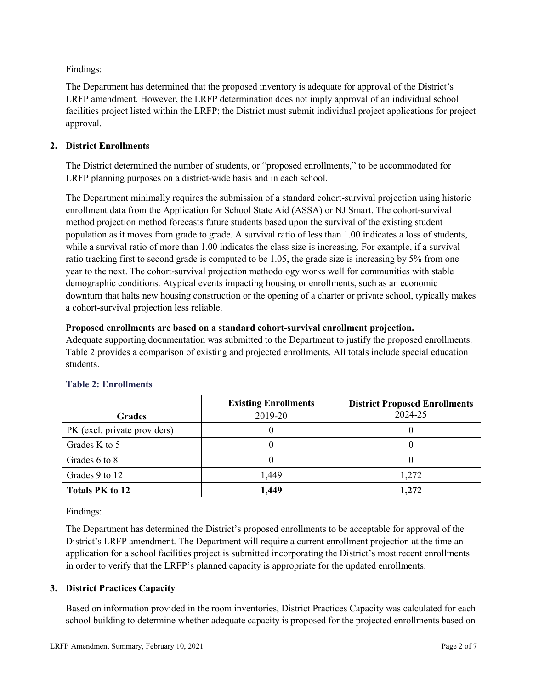Findings:

The Department has determined that the proposed inventory is adequate for approval of the District's LRFP amendment. However, the LRFP determination does not imply approval of an individual school facilities project listed within the LRFP; the District must submit individual project applications for project approval.

## **2. District Enrollments**

The District determined the number of students, or "proposed enrollments," to be accommodated for LRFP planning purposes on a district-wide basis and in each school.

The Department minimally requires the submission of a standard cohort-survival projection using historic enrollment data from the Application for School State Aid (ASSA) or NJ Smart. The cohort-survival method projection method forecasts future students based upon the survival of the existing student population as it moves from grade to grade. A survival ratio of less than 1.00 indicates a loss of students, while a survival ratio of more than 1.00 indicates the class size is increasing. For example, if a survival ratio tracking first to second grade is computed to be 1.05, the grade size is increasing by 5% from one year to the next. The cohort-survival projection methodology works well for communities with stable demographic conditions. Atypical events impacting housing or enrollments, such as an economic downturn that halts new housing construction or the opening of a charter or private school, typically makes a cohort-survival projection less reliable.

## **Proposed enrollments are based on a standard cohort-survival enrollment projection.**

Adequate supporting documentation was submitted to the Department to justify the proposed enrollments. Table 2 provides a comparison of existing and projected enrollments. All totals include special education students.

|                              | <b>Existing Enrollments</b> | <b>District Proposed Enrollments</b> |
|------------------------------|-----------------------------|--------------------------------------|
| <b>Grades</b>                | 2019-20                     | 2024-25                              |
| PK (excl. private providers) |                             |                                      |
| Grades K to 5                |                             |                                      |
| Grades 6 to 8                |                             |                                      |
| Grades 9 to 12               | 1,449                       | 1,272                                |
| <b>Totals PK to 12</b>       | 1,449                       | 1,272                                |

# **Table 2: Enrollments**

Findings:

The Department has determined the District's proposed enrollments to be acceptable for approval of the District's LRFP amendment. The Department will require a current enrollment projection at the time an application for a school facilities project is submitted incorporating the District's most recent enrollments in order to verify that the LRFP's planned capacity is appropriate for the updated enrollments.

# **3. District Practices Capacity**

Based on information provided in the room inventories, District Practices Capacity was calculated for each school building to determine whether adequate capacity is proposed for the projected enrollments based on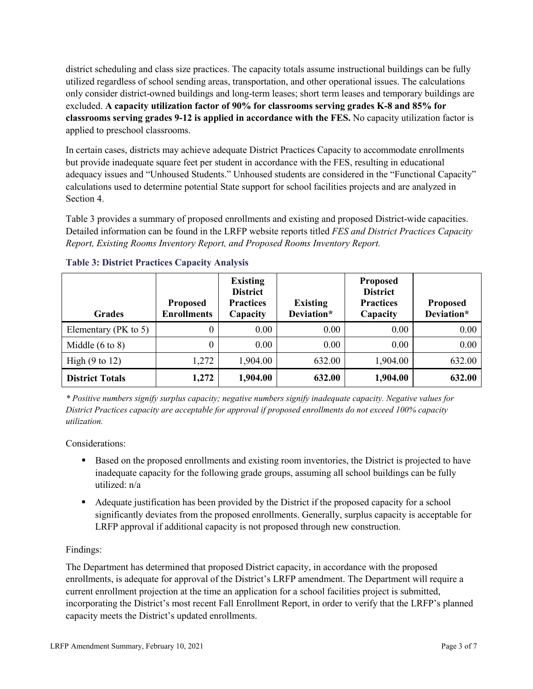district scheduling and class size practices. The capacity totals assume instructional buildings can be fully utilized regardless of school sending areas, transportation, and other operational issues. The calculations only consider district-owned buildings and long-term leases; short term leases and temporary buildings are excluded. **A capacity utilization factor of 90% for classrooms serving grades K-8 and 85% for classrooms serving grades 9-12 is applied in accordance with the FES.** No capacity utilization factor is applied to preschool classrooms.

In certain cases, districts may achieve adequate District Practices Capacity to accommodate enrollments but provide inadequate square feet per student in accordance with the FES, resulting in educational adequacy issues and "Unhoused Students." Unhoused students are considered in the "Functional Capacity" calculations used to determine potential State support for school facilities projects and are analyzed in Section 4.

Table 3 provides a summary of proposed enrollments and existing and proposed District-wide capacities. Detailed information can be found in the LRFP website reports titled *FES and District Practices Capacity Report, Existing Rooms Inventory Report, and Proposed Rooms Inventory Report.*

| <b>Grades</b>              | <b>Proposed</b><br><b>Enrollments</b> | <b>Existing</b><br><b>District</b><br><b>Practices</b><br>Capacity | <b>Existing</b><br>Deviation* | <b>Proposed</b><br><b>District</b><br><b>Practices</b><br>Capacity | <b>Proposed</b><br>Deviation* |
|----------------------------|---------------------------------------|--------------------------------------------------------------------|-------------------------------|--------------------------------------------------------------------|-------------------------------|
| Elementary ( $PK$ to 5)    | 0                                     | 0.00                                                               | 0.00                          | 0.00                                                               | 0.00                          |
| Middle $(6 \text{ to } 8)$ | 0                                     | 0.00                                                               | 0.00                          | 0.00                                                               | 0.00                          |
| High $(9 \text{ to } 12)$  | 1,272                                 | 1,904.00                                                           | 632.00                        | 1,904.00                                                           | 632.00                        |
| <b>District Totals</b>     | 1,272                                 | 1,904.00                                                           | 632.00                        | 1,904.00                                                           | 632.00                        |

## **Table 3: District Practices Capacity Analysis**

*\* Positive numbers signify surplus capacity; negative numbers signify inadequate capacity. Negative values for District Practices capacity are acceptable for approval if proposed enrollments do not exceed 100% capacity utilization.*

Considerations:

- **Based on the proposed enrollments and existing room inventories, the District is projected to have** inadequate capacity for the following grade groups, assuming all school buildings can be fully utilized: n/a
- Adequate justification has been provided by the District if the proposed capacity for a school significantly deviates from the proposed enrollments. Generally, surplus capacity is acceptable for LRFP approval if additional capacity is not proposed through new construction.

## Findings:

The Department has determined that proposed District capacity, in accordance with the proposed enrollments, is adequate for approval of the District's LRFP amendment. The Department will require a current enrollment projection at the time an application for a school facilities project is submitted, incorporating the District's most recent Fall Enrollment Report, in order to verify that the LRFP's planned capacity meets the District's updated enrollments.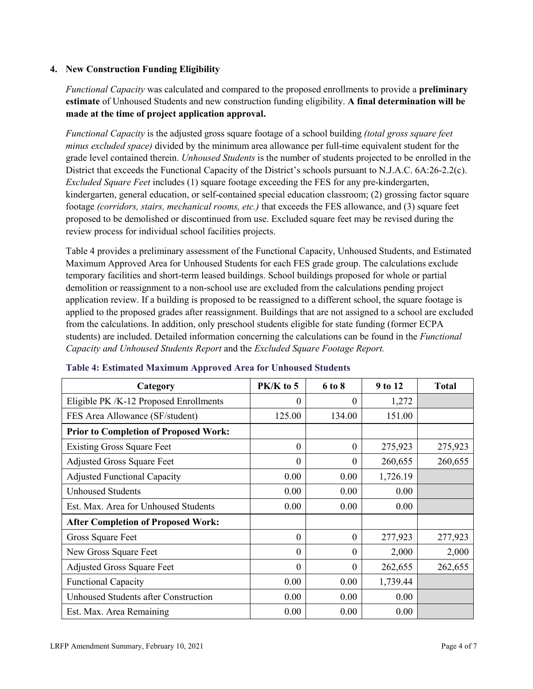## **4. New Construction Funding Eligibility**

*Functional Capacity* was calculated and compared to the proposed enrollments to provide a **preliminary estimate** of Unhoused Students and new construction funding eligibility. **A final determination will be made at the time of project application approval.**

*Functional Capacity* is the adjusted gross square footage of a school building *(total gross square feet minus excluded space)* divided by the minimum area allowance per full-time equivalent student for the grade level contained therein. *Unhoused Students* is the number of students projected to be enrolled in the District that exceeds the Functional Capacity of the District's schools pursuant to N.J.A.C. 6A:26-2.2(c). *Excluded Square Feet* includes (1) square footage exceeding the FES for any pre-kindergarten, kindergarten, general education, or self-contained special education classroom; (2) grossing factor square footage *(corridors, stairs, mechanical rooms, etc.)* that exceeds the FES allowance, and (3) square feet proposed to be demolished or discontinued from use. Excluded square feet may be revised during the review process for individual school facilities projects.

Table 4 provides a preliminary assessment of the Functional Capacity, Unhoused Students, and Estimated Maximum Approved Area for Unhoused Students for each FES grade group. The calculations exclude temporary facilities and short-term leased buildings. School buildings proposed for whole or partial demolition or reassignment to a non-school use are excluded from the calculations pending project application review. If a building is proposed to be reassigned to a different school, the square footage is applied to the proposed grades after reassignment. Buildings that are not assigned to a school are excluded from the calculations. In addition, only preschool students eligible for state funding (former ECPA students) are included. Detailed information concerning the calculations can be found in the *Functional Capacity and Unhoused Students Report* and the *Excluded Square Footage Report.*

| Category                                     | PK/K to 5        | 6 to 8   | 9 to 12  | <b>Total</b> |
|----------------------------------------------|------------------|----------|----------|--------------|
| Eligible PK /K-12 Proposed Enrollments       | 0                | 0        | 1,272    |              |
| FES Area Allowance (SF/student)              | 125.00           | 134.00   | 151.00   |              |
| <b>Prior to Completion of Proposed Work:</b> |                  |          |          |              |
| <b>Existing Gross Square Feet</b>            | $\theta$         | 0        | 275,923  | 275,923      |
| <b>Adjusted Gross Square Feet</b>            | $\boldsymbol{0}$ | $\theta$ | 260,655  | 260,655      |
| <b>Adjusted Functional Capacity</b>          | 0.00             | 0.00     | 1,726.19 |              |
| <b>Unhoused Students</b>                     | 0.00             | 0.00     | 0.00     |              |
| Est. Max. Area for Unhoused Students         | 0.00             | 0.00     | 0.00     |              |
| <b>After Completion of Proposed Work:</b>    |                  |          |          |              |
| Gross Square Feet                            | $\theta$         | $\theta$ | 277,923  | 277,923      |
| New Gross Square Feet                        | $\theta$         | $\Omega$ | 2,000    | 2,000        |
| <b>Adjusted Gross Square Feet</b>            | $\Omega$         | $\Omega$ | 262,655  | 262,655      |
| <b>Functional Capacity</b>                   | 0.00             | 0.00     | 1,739.44 |              |
| <b>Unhoused Students after Construction</b>  | 0.00             | 0.00     | 0.00     |              |
| Est. Max. Area Remaining                     | 0.00             | 0.00     | 0.00     |              |

#### **Table 4: Estimated Maximum Approved Area for Unhoused Students**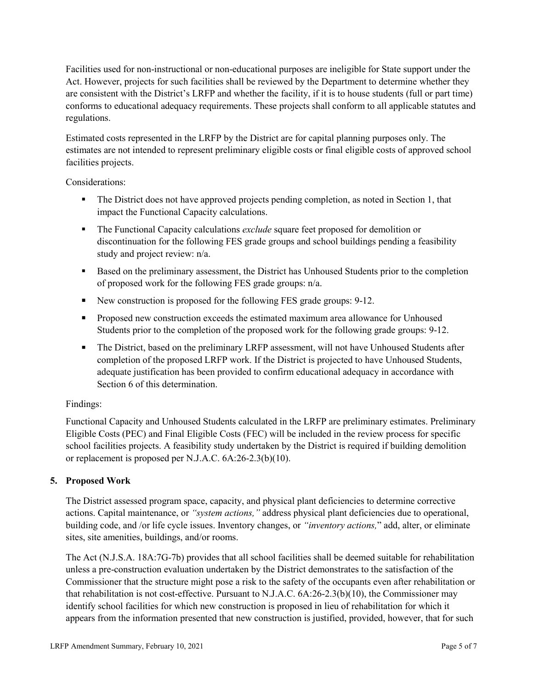Facilities used for non-instructional or non-educational purposes are ineligible for State support under the Act. However, projects for such facilities shall be reviewed by the Department to determine whether they are consistent with the District's LRFP and whether the facility, if it is to house students (full or part time) conforms to educational adequacy requirements. These projects shall conform to all applicable statutes and regulations.

Estimated costs represented in the LRFP by the District are for capital planning purposes only. The estimates are not intended to represent preliminary eligible costs or final eligible costs of approved school facilities projects.

Considerations:

- The District does not have approved projects pending completion, as noted in Section 1, that impact the Functional Capacity calculations.
- **The Functional Capacity calculations** *exclude* square feet proposed for demolition or discontinuation for the following FES grade groups and school buildings pending a feasibility study and project review: n/a.
- Based on the preliminary assessment, the District has Unhoused Students prior to the completion of proposed work for the following FES grade groups: n/a.
- New construction is proposed for the following FES grade groups: 9-12.
- Proposed new construction exceeds the estimated maximum area allowance for Unhoused Students prior to the completion of the proposed work for the following grade groups: 9-12.
- The District, based on the preliminary LRFP assessment, will not have Unhoused Students after completion of the proposed LRFP work. If the District is projected to have Unhoused Students, adequate justification has been provided to confirm educational adequacy in accordance with Section 6 of this determination.

## Findings:

Functional Capacity and Unhoused Students calculated in the LRFP are preliminary estimates. Preliminary Eligible Costs (PEC) and Final Eligible Costs (FEC) will be included in the review process for specific school facilities projects. A feasibility study undertaken by the District is required if building demolition or replacement is proposed per N.J.A.C. 6A:26-2.3(b)(10).

## **5. Proposed Work**

The District assessed program space, capacity, and physical plant deficiencies to determine corrective actions. Capital maintenance, or *"system actions,"* address physical plant deficiencies due to operational, building code, and /or life cycle issues. Inventory changes, or *"inventory actions,*" add, alter, or eliminate sites, site amenities, buildings, and/or rooms.

The Act (N.J.S.A. 18A:7G-7b) provides that all school facilities shall be deemed suitable for rehabilitation unless a pre-construction evaluation undertaken by the District demonstrates to the satisfaction of the Commissioner that the structure might pose a risk to the safety of the occupants even after rehabilitation or that rehabilitation is not cost-effective. Pursuant to N.J.A.C. 6A:26-2.3(b)(10), the Commissioner may identify school facilities for which new construction is proposed in lieu of rehabilitation for which it appears from the information presented that new construction is justified, provided, however, that for such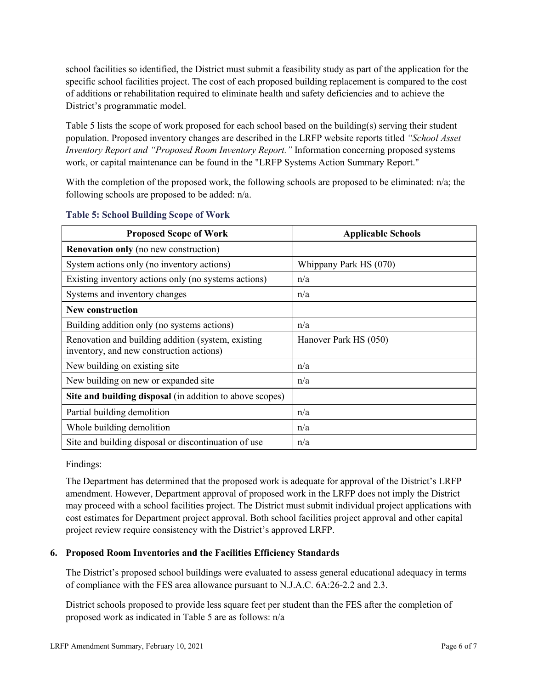school facilities so identified, the District must submit a feasibility study as part of the application for the specific school facilities project. The cost of each proposed building replacement is compared to the cost of additions or rehabilitation required to eliminate health and safety deficiencies and to achieve the District's programmatic model.

Table 5 lists the scope of work proposed for each school based on the building(s) serving their student population. Proposed inventory changes are described in the LRFP website reports titled *"School Asset Inventory Report and "Proposed Room Inventory Report."* Information concerning proposed systems work, or capital maintenance can be found in the "LRFP Systems Action Summary Report."

With the completion of the proposed work, the following schools are proposed to be eliminated: n/a; the following schools are proposed to be added: n/a.

| <b>Proposed Scope of Work</b>                                                                  | <b>Applicable Schools</b> |
|------------------------------------------------------------------------------------------------|---------------------------|
| <b>Renovation only</b> (no new construction)                                                   |                           |
| System actions only (no inventory actions)                                                     | Whippany Park HS (070)    |
| Existing inventory actions only (no systems actions)                                           | n/a                       |
| Systems and inventory changes                                                                  | n/a                       |
| <b>New construction</b>                                                                        |                           |
| Building addition only (no systems actions)                                                    | n/a                       |
| Renovation and building addition (system, existing<br>inventory, and new construction actions) | Hanover Park HS (050)     |
| New building on existing site.                                                                 | n/a                       |
| New building on new or expanded site                                                           | n/a                       |
| Site and building disposal (in addition to above scopes)                                       |                           |
| Partial building demolition                                                                    | n/a                       |
| Whole building demolition                                                                      | n/a                       |
| Site and building disposal or discontinuation of use                                           | n/a                       |

#### **Table 5: School Building Scope of Work**

Findings:

The Department has determined that the proposed work is adequate for approval of the District's LRFP amendment. However, Department approval of proposed work in the LRFP does not imply the District may proceed with a school facilities project. The District must submit individual project applications with cost estimates for Department project approval. Both school facilities project approval and other capital project review require consistency with the District's approved LRFP.

## **6. Proposed Room Inventories and the Facilities Efficiency Standards**

The District's proposed school buildings were evaluated to assess general educational adequacy in terms of compliance with the FES area allowance pursuant to N.J.A.C. 6A:26-2.2 and 2.3.

District schools proposed to provide less square feet per student than the FES after the completion of proposed work as indicated in Table 5 are as follows: n/a